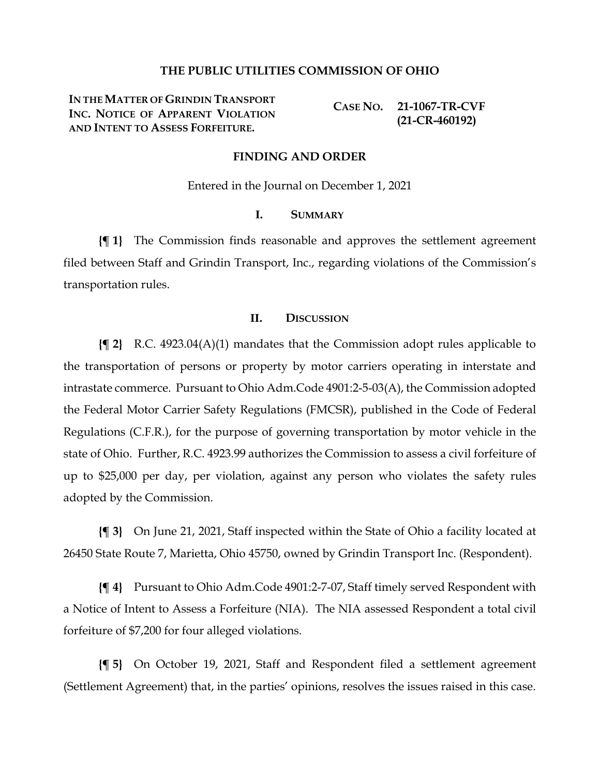### **THE PUBLIC UTILITIES COMMISSION OF OHIO**

**IN THE MATTER OF GRINDIN TRANSPORT INC. NOTICE OF APPARENT VIOLATION AND INTENT TO ASSESS FORFEITURE.**

**CASE NO. 21-1067-TR-CVF (21-CR-460192)**

### **FINDING AND ORDER**

Entered in the Journal on December 1, 2021

### **I. SUMMARY**

**{¶ 1}** The Commission finds reasonable and approves the settlement agreement filed between Staff and Grindin Transport, Inc., regarding violations of the Commission's transportation rules.

### **II. DISCUSSION**

**{¶ 2}** R.C. 4923.04(A)(1) mandates that the Commission adopt rules applicable to the transportation of persons or property by motor carriers operating in interstate and intrastate commerce. Pursuant to Ohio Adm.Code 4901:2-5-03(A), the Commission adopted the Federal Motor Carrier Safety Regulations (FMCSR), published in the Code of Federal Regulations (C.F.R.), for the purpose of governing transportation by motor vehicle in the state of Ohio. Further, R.C. 4923.99 authorizes the Commission to assess a civil forfeiture of up to \$25,000 per day, per violation, against any person who violates the safety rules adopted by the Commission.

**{¶ 3}** On June 21, 2021, Staff inspected within the State of Ohio a facility located at 26450 State Route 7, Marietta, Ohio 45750, owned by Grindin Transport Inc. (Respondent).

**{¶ 4}** Pursuant to Ohio Adm.Code 4901:2-7-07, Staff timely served Respondent with a Notice of Intent to Assess a Forfeiture (NIA). The NIA assessed Respondent a total civil forfeiture of \$7,200 for four alleged violations.

**{¶ 5}** On October 19, 2021, Staff and Respondent filed a settlement agreement (Settlement Agreement) that, in the parties' opinions, resolves the issues raised in this case.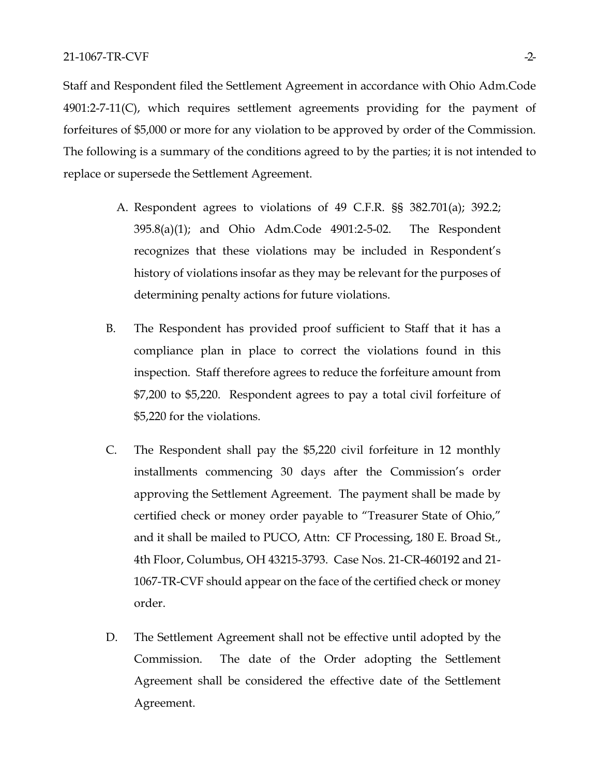Staff and Respondent filed the Settlement Agreement in accordance with Ohio Adm.Code 4901:2-7-11(C), which requires settlement agreements providing for the payment of forfeitures of \$5,000 or more for any violation to be approved by order of the Commission. The following is a summary of the conditions agreed to by the parties; it is not intended to replace or supersede the Settlement Agreement.

- A. Respondent agrees to violations of 49 C.F.R. §§ 382.701(a); 392.2; 395.8(a)(1); and Ohio Adm.Code 4901:2-5-02. The Respondent recognizes that these violations may be included in Respondent's history of violations insofar as they may be relevant for the purposes of determining penalty actions for future violations.
- B. The Respondent has provided proof sufficient to Staff that it has a compliance plan in place to correct the violations found in this inspection. Staff therefore agrees to reduce the forfeiture amount from \$7,200 to \$5,220. Respondent agrees to pay a total civil forfeiture of \$5,220 for the violations.
- C. The Respondent shall pay the \$5,220 civil forfeiture in 12 monthly installments commencing 30 days after the Commission's order approving the Settlement Agreement. The payment shall be made by certified check or money order payable to "Treasurer State of Ohio," and it shall be mailed to PUCO, Attn: CF Processing, 180 E. Broad St., 4th Floor, Columbus, OH 43215-3793. Case Nos. 21-CR-460192 and 21- 1067-TR-CVF should appear on the face of the certified check or money order.
- D. The Settlement Agreement shall not be effective until adopted by the Commission. The date of the Order adopting the Settlement Agreement shall be considered the effective date of the Settlement Agreement.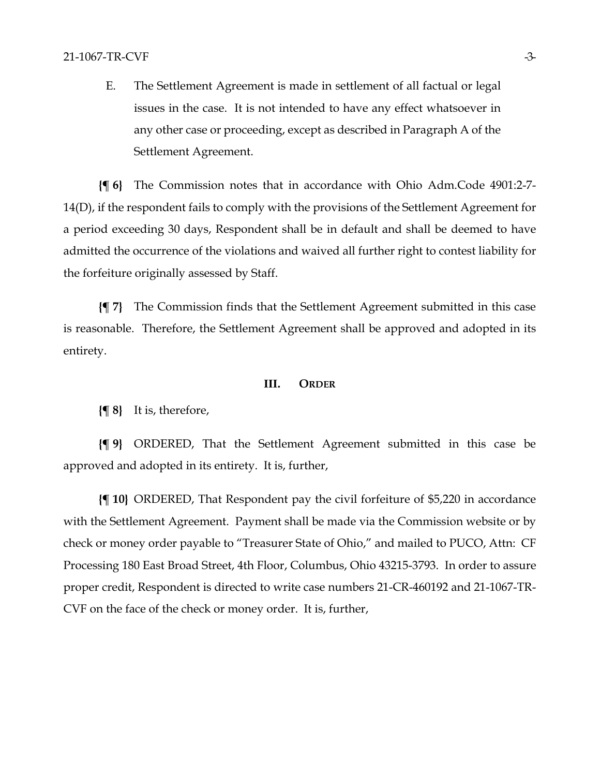E. The Settlement Agreement is made in settlement of all factual or legal issues in the case. It is not intended to have any effect whatsoever in any other case or proceeding, except as described in Paragraph A of the Settlement Agreement.

**{¶ 6}** The Commission notes that in accordance with Ohio Adm.Code 4901:2-7- 14(D), if the respondent fails to comply with the provisions of the Settlement Agreement for a period exceeding 30 days, Respondent shall be in default and shall be deemed to have admitted the occurrence of the violations and waived all further right to contest liability for the forfeiture originally assessed by Staff.

**{¶ 7}** The Commission finds that the Settlement Agreement submitted in this case is reasonable. Therefore, the Settlement Agreement shall be approved and adopted in its entirety.

### **III. ORDER**

**{¶ 8}** It is, therefore,

**{¶ 9}** ORDERED, That the Settlement Agreement submitted in this case be approved and adopted in its entirety. It is, further,

**{¶ 10}** ORDERED, That Respondent pay the civil forfeiture of \$5,220 in accordance with the Settlement Agreement. Payment shall be made via the Commission website or by check or money order payable to "Treasurer State of Ohio," and mailed to PUCO, Attn: CF Processing 180 East Broad Street, 4th Floor, Columbus, Ohio 43215-3793. In order to assure proper credit, Respondent is directed to write case numbers 21-CR-460192 and 21-1067-TR-CVF on the face of the check or money order. It is, further,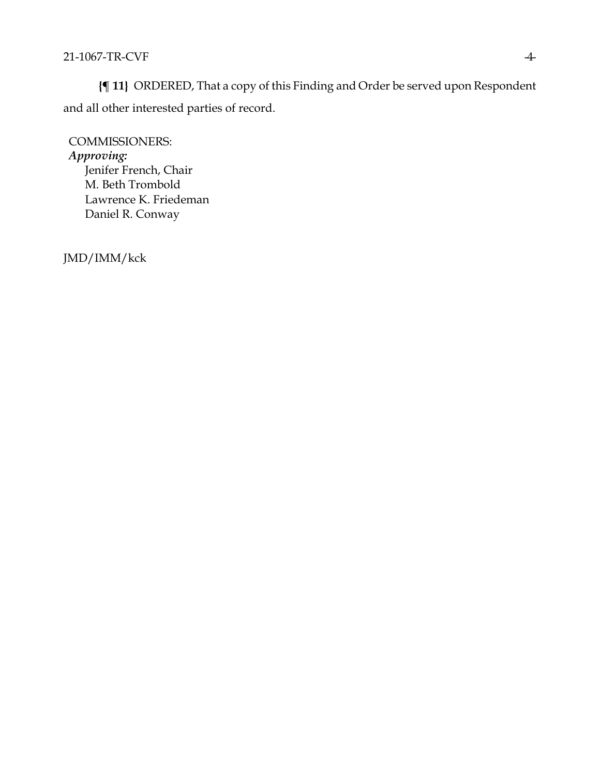**{¶ 11}** ORDERED, That a copy of this Finding and Order be served upon Respondent and all other interested parties of record.

COMMISSIONERS: *Approving:*  Jenifer French, Chair M. Beth Trombold Lawrence K. Friedeman Daniel R. Conway

JMD/IMM/kck